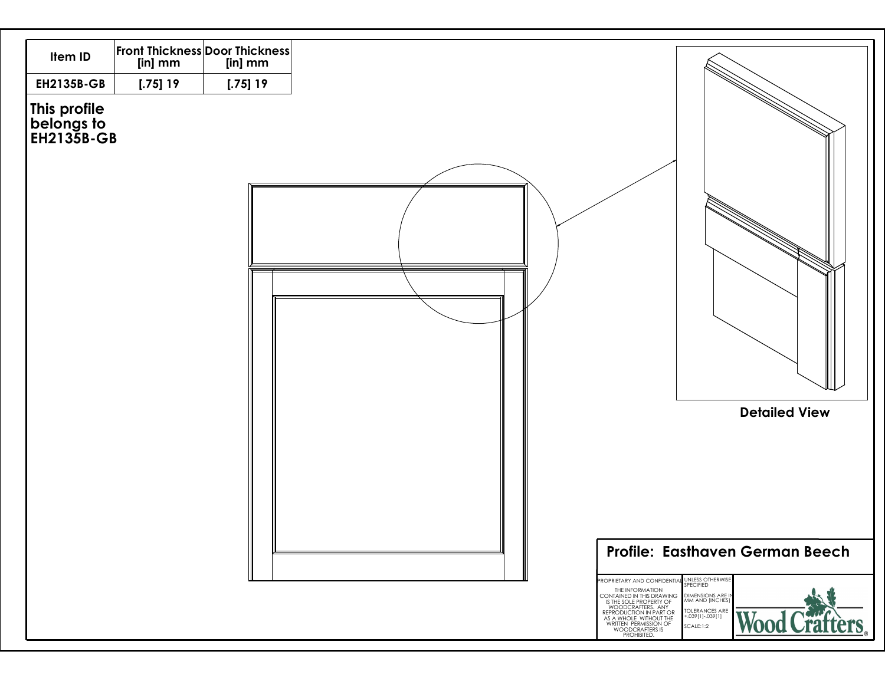